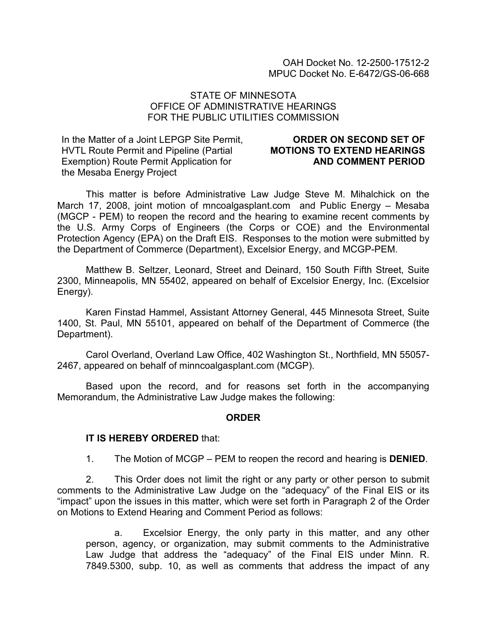### STATE OF MINNESOTA OFFICE OF ADMINISTRATIVE HEARINGS FOR THE PUBLIC UTILITIES COMMISSION

In the Matter of a Joint LEPGP Site Permit, HVTL Route Permit and Pipeline (Partial Exemption) Route Permit Application for the Mesaba Energy Project

### ORDER ON SECOND SET OF MOTIONS TO EXTEND HEARINGS AND COMMENT PERIOD

This matter is before Administrative Law Judge Steve M. Mihalchick on the March 17, 2008, joint motion of mncoalgasplant.com and Public Energy – Mesaba (MGCP - PEM) to reopen the record and the hearing to examine recent comments by the U.S. Army Corps of Engineers (the Corps or COE) and the Environmental Protection Agency (EPA) on the Draft EIS. Responses to the motion were submitted by the Department of Commerce (Department), Excelsior Energy, and MCGP-PEM.

Matthew B. Seltzer, Leonard, Street and Deinard, 150 South Fifth Street, Suite 2300, Minneapolis, MN 55402, appeared on behalf of Excelsior Energy, Inc. (Excelsior Energy).

Karen Finstad Hammel, Assistant Attorney General, 445 Minnesota Street, Suite 1400, St. Paul, MN 55101, appeared on behalf of the Department of Commerce (the Department).

Carol Overland, Overland Law Office, 402 Washington St., Northfield, MN 55057- 2467, appeared on behalf of minncoalgasplant.com (MCGP).

Based upon the record, and for reasons set forth in the accompanying Memorandum, the Administrative Law Judge makes the following:

### ORDER

### IT IS HEREBY ORDERED that:

1. The Motion of MCGP – PEM to reopen the record and hearing is DENIED.

2. This Order does not limit the right or any party or other person to submit comments to the Administrative Law Judge on the "adequacy" of the Final EIS or its "impact" upon the issues in this matter, which were set forth in Paragraph 2 of the Order on Motions to Extend Hearing and Comment Period as follows:

a. Excelsior Energy, the only party in this matter, and any other person, agency, or organization, may submit comments to the Administrative Law Judge that address the "adequacy" of the Final EIS under Minn. R. 7849.5300, subp. 10, as well as comments that address the impact of any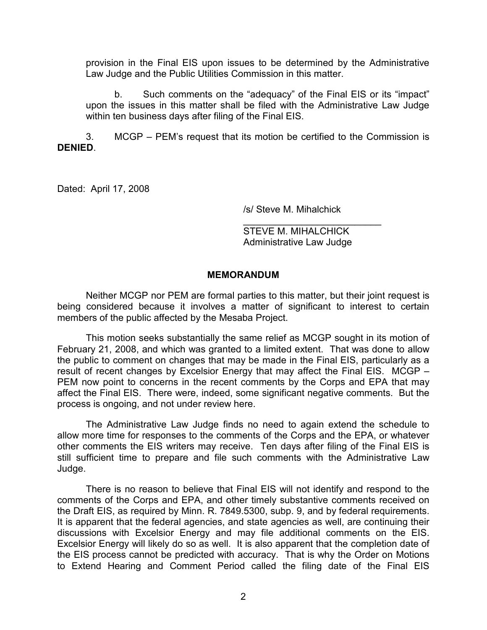provision in the Final EIS upon issues to be determined by the Administrative Law Judge and the Public Utilities Commission in this matter.

b. Such comments on the "adequacy" of the Final EIS or its "impact" upon the issues in this matter shall be filed with the Administrative Law Judge within ten business days after filing of the Final EIS.

3. MCGP – PEM's request that its motion be certified to the Commission is DENIED.

Dated: April 17, 2008

/s/ Steve M. Mihalchick

\_\_\_\_\_\_\_\_\_\_\_\_\_\_\_\_\_\_\_\_\_\_\_\_\_\_ STEVE M. MIHALCHICK Administrative Law Judge

### MEMORANDUM

Neither MCGP nor PEM are formal parties to this matter, but their joint request is being considered because it involves a matter of significant to interest to certain members of the public affected by the Mesaba Project.

This motion seeks substantially the same relief as MCGP sought in its motion of February 21, 2008, and which was granted to a limited extent. That was done to allow the public to comment on changes that may be made in the Final EIS, particularly as a result of recent changes by Excelsior Energy that may affect the Final EIS. MCGP – PEM now point to concerns in the recent comments by the Corps and EPA that may affect the Final EIS. There were, indeed, some significant negative comments. But the process is ongoing, and not under review here.

The Administrative Law Judge finds no need to again extend the schedule to allow more time for responses to the comments of the Corps and the EPA, or whatever other comments the EIS writers may receive. Ten days after filing of the Final EIS is still sufficient time to prepare and file such comments with the Administrative Law Judge.

There is no reason to believe that Final EIS will not identify and respond to the comments of the Corps and EPA, and other timely substantive comments received on the Draft EIS, as required by Minn. R. 7849.5300, subp. 9, and by federal requirements. It is apparent that the federal agencies, and state agencies as well, are continuing their discussions with Excelsior Energy and may file additional comments on the EIS. Excelsior Energy will likely do so as well. It is also apparent that the completion date of the EIS process cannot be predicted with accuracy. That is why the Order on Motions to Extend Hearing and Comment Period called the filing date of the Final EIS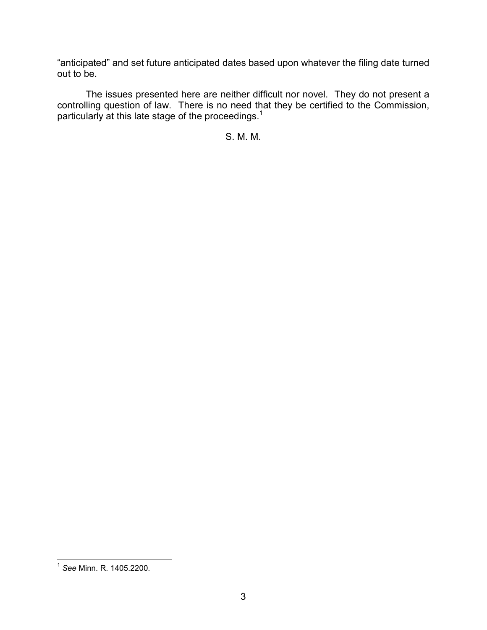"anticipated" and set future anticipated dates based upon whatever the filing date turned out to be.

The issues presented here are neither difficult nor novel. They do not present a controlling question of law. There is no need that they be certified to the Commission, particularly at this late stage of the proceedings.<sup>1</sup>

S. M. M.

 1 See Minn. R. 1405.2200.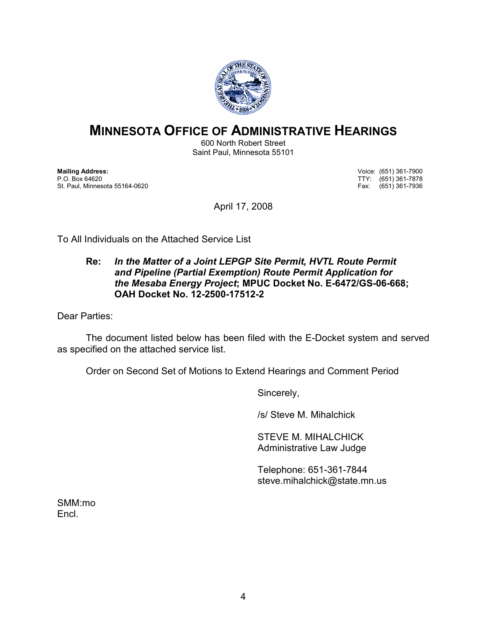

# MINNESOTA OFFICE OF ADMINISTRATIVE HEARINGS

600 North Robert Street Saint Paul, Minnesota 55101

Mailing Address: Voice: (651) 361-7900 St. Paul, Minnesota 55164-0620

TTY: (651) 361-7878<br>Fax: (651) 361-7936

April 17, 2008

To All Individuals on the Attached Service List

### Re: In the Matter of a Joint LEPGP Site Permit, HVTL Route Permit and Pipeline (Partial Exemption) Route Permit Application for the Mesaba Energy Project; MPUC Docket No. E-6472/GS-06-668; OAH Docket No. 12-2500-17512-2

Dear Parties:

 The document listed below has been filed with the E-Docket system and served as specified on the attached service list.

Order on Second Set of Motions to Extend Hearings and Comment Period

Sincerely,

/s/ Steve M. Mihalchick

STEVE M. MIHALCHICK Administrative Law Judge

Telephone: 651-361-7844 steve.mihalchick@state.mn.us

SMM:mo Encl.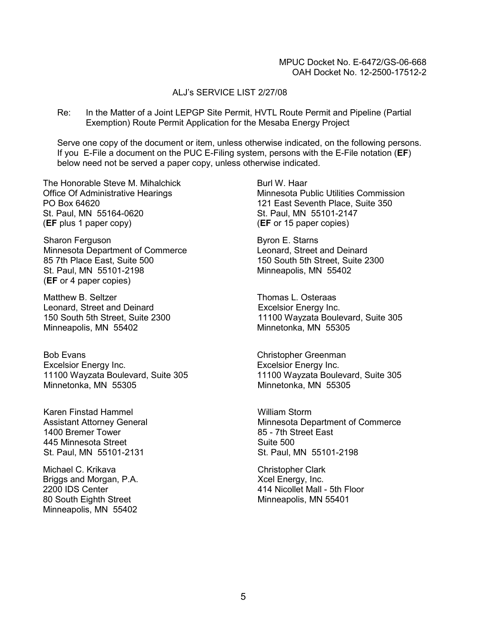#### ALJ's SERVICE LIST 2/27/08

Re: In the Matter of a Joint LEPGP Site Permit, HVTL Route Permit and Pipeline (Partial Exemption) Route Permit Application for the Mesaba Energy Project

Serve one copy of the document or item, unless otherwise indicated, on the following persons. If you E-File a document on the PUC E-Filing system, persons with the E-File notation (EF) below need not be served a paper copy, unless otherwise indicated.

The Honorable Steve M. Mihalchick Office Of Administrative Hearings PO Box 64620 St. Paul, MN 55164-0620 (EF plus 1 paper copy)

Sharon Ferguson Minnesota Department of Commerce 85 7th Place East, Suite 500 St. Paul, MN 55101-2198 (EF or 4 paper copies)

Matthew B. Seltzer Leonard, Street and Deinard 150 South 5th Street, Suite 2300 Minneapolis, MN 55402

Bob Evans Excelsior Energy Inc. 11100 Wayzata Boulevard, Suite 305 Minnetonka, MN 55305

Karen Finstad Hammel Assistant Attorney General 1400 Bremer Tower 445 Minnesota Street St. Paul, MN 55101-2131

Michael C. Krikava Briggs and Morgan, P.A. 2200 IDS Center 80 South Eighth Street Minneapolis, MN 55402

Burl W. Haar Minnesota Public Utilities Commission 121 East Seventh Place, Suite 350 St. Paul, MN 55101-2147 (EF or 15 paper copies)

Byron E. Starns Leonard, Street and Deinard 150 South 5th Street, Suite 2300 Minneapolis, MN 55402

Thomas L. Osteraas Excelsior Energy Inc. 11100 Wayzata Boulevard, Suite 305 Minnetonka, MN 55305

Christopher Greenman Excelsior Energy Inc. 11100 Wayzata Boulevard, Suite 305 Minnetonka, MN 55305

William Storm Minnesota Department of Commerce 85 - 7th Street East Suite 500 St. Paul, MN 55101-2198

Christopher Clark Xcel Energy, Inc. 414 Nicollet Mall - 5th Floor Minneapolis, MN 55401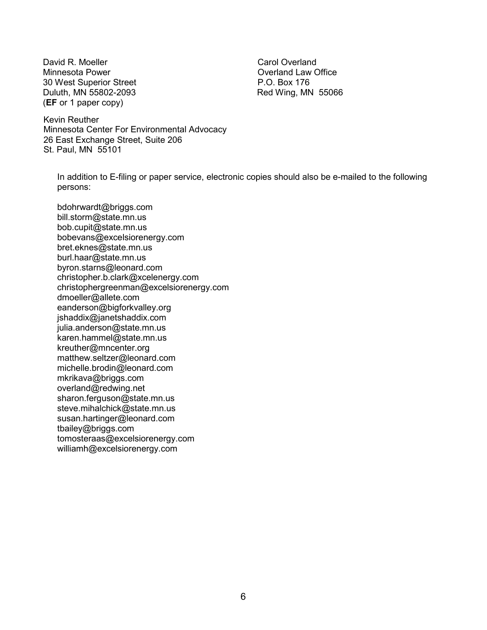David R. Moeller Minnesota Power 30 West Superior Street Duluth, MN 55802-2093 (EF or 1 paper copy)

Carol Overland Overland Law Office P.O. Box 176 Red Wing, MN 55066

Kevin Reuther Minnesota Center For Environmental Advocacy 26 East Exchange Street, Suite 206 St. Paul, MN 55101

In addition to E-filing or paper service, electronic copies should also be e-mailed to the following persons:

bdohrwardt@briggs.com bill.storm@state.mn.us bob.cupit@state.mn.us bobevans@excelsiorenergy.com bret.eknes@state.mn.us burl.haar@state.mn.us byron.starns@leonard.com christopher.b.clark@xcelenergy.com christophergreenman@excelsiorenergy.com dmoeller@allete.com eanderson@bigforkvalley.org jshaddix@janetshaddix.com julia.anderson@state.mn.us karen.hammel@state.mn.us kreuther@mncenter.org matthew.seltzer@leonard.com michelle.brodin@leonard.com mkrikava@briggs.com overland@redwing.net sharon.ferguson@state.mn.us steve.mihalchick@state.mn.us susan.hartinger@leonard.com tbailey@briggs.com tomosteraas@excelsiorenergy.com williamh@excelsiorenergy.com